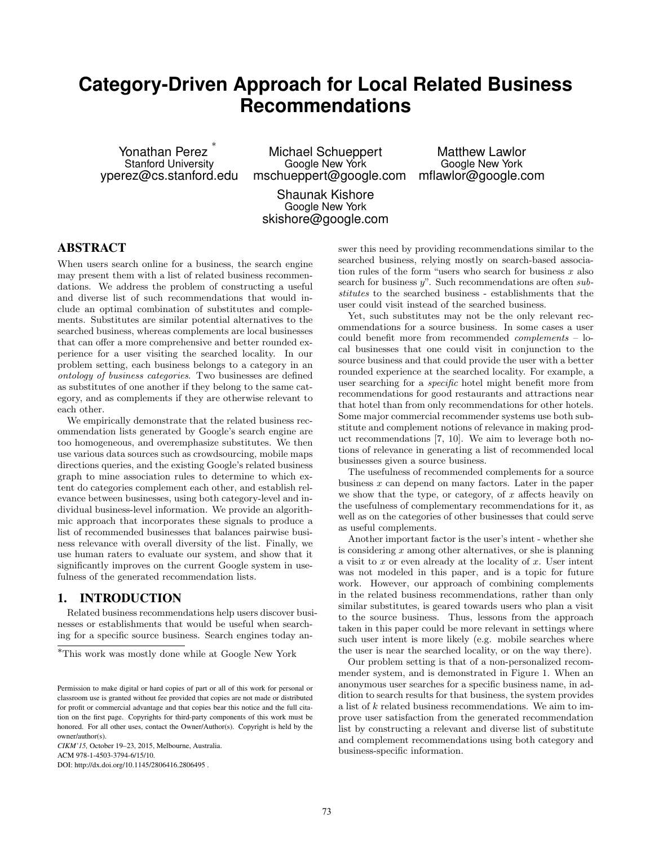# **Category-Driven Approach for Local Related Business Recommendations**

Yonathan Perez ∗ Stanford University yperez@cs.stanford.edu

Michael Schueppert Google New York mschueppert@google.com

Matthew Lawlor Google New York mflawlor@google.com

Shaunak Kishore Google New York skishore@google.com

## ABSTRACT

When users search online for a business, the search engine may present them with a list of related business recommendations. We address the problem of constructing a useful and diverse list of such recommendations that would include an optimal combination of substitutes and complements. Substitutes are similar potential alternatives to the searched business, whereas complements are local businesses that can offer a more comprehensive and better rounded experience for a user visiting the searched locality. In our problem setting, each business belongs to a category in an ontology of business categories. Two businesses are defined as substitutes of one another if they belong to the same category, and as complements if they are otherwise relevant to each other.

We empirically demonstrate that the related business recommendation lists generated by Google's search engine are too homogeneous, and overemphasize substitutes. We then use various data sources such as crowdsourcing, mobile maps directions queries, and the existing Google's related business graph to mine association rules to determine to which extent do categories complement each other, and establish relevance between businesses, using both category-level and individual business-level information. We provide an algorithmic approach that incorporates these signals to produce a list of recommended businesses that balances pairwise business relevance with overall diversity of the list. Finally, we use human raters to evaluate our system, and show that it significantly improves on the current Google system in usefulness of the generated recommendation lists.

## 1. INTRODUCTION

Related business recommendations help users discover businesses or establishments that would be useful when searching for a specific source business. Search engines today an-

*CIKM'15,* October 19–23, 2015, Melbourne, Australia.

ACM 978-1-4503-3794-6/15/10.

DOI: http://dx.doi.org/10.1145/2806416.2806495 .

swer this need by providing recommendations similar to the searched business, relying mostly on search-based association rules of the form "users who search for business  $x$  also search for business  $y$ ". Such recommendations are often substitutes to the searched business - establishments that the user could visit instead of the searched business.

Yet, such substitutes may not be the only relevant recommendations for a source business. In some cases a user could benefit more from recommended complements – local businesses that one could visit in conjunction to the source business and that could provide the user with a better rounded experience at the searched locality. For example, a user searching for a specific hotel might benefit more from recommendations for good restaurants and attractions near that hotel than from only recommendations for other hotels. Some major commercial recommender systems use both substitute and complement notions of relevance in making product recommendations [7, 10]. We aim to leverage both notions of relevance in generating a list of recommended local businesses given a source business.

The usefulness of recommended complements for a source business  $x$  can depend on many factors. Later in the paper we show that the type, or category, of  $x$  affects heavily on the usefulness of complementary recommendations for it, as well as on the categories of other businesses that could serve as useful complements.

Another important factor is the user's intent - whether she is considering  $x$  among other alternatives, or she is planning a visit to  $x$  or even already at the locality of  $x$ . User intent was not modeled in this paper, and is a topic for future work. However, our approach of combining complements in the related business recommendations, rather than only similar substitutes, is geared towards users who plan a visit to the source business. Thus, lessons from the approach taken in this paper could be more relevant in settings where such user intent is more likely (e.g. mobile searches where the user is near the searched locality, or on the way there).

Our problem setting is that of a non-personalized recommender system, and is demonstrated in Figure 1. When an anonymous user searches for a specific business name, in addition to search results for that business, the system provides a list of k related business recommendations. We aim to improve user satisfaction from the generated recommendation list by constructing a relevant and diverse list of substitute and complement recommendations using both category and business-specific information.

 $^{\ast} \mathrm{This}$  work was mostly done while at Google New York

Permission to make digital or hard copies of part or all of this work for personal or classroom use is granted without fee provided that copies are not made or distributed for profit or commercial advantage and that copies bear this notice and the full citation on the first page. Copyrights for third-party components of this work must be honored. For all other uses, contact the Owner/Author(s). Copyright is held by the owner/author(s).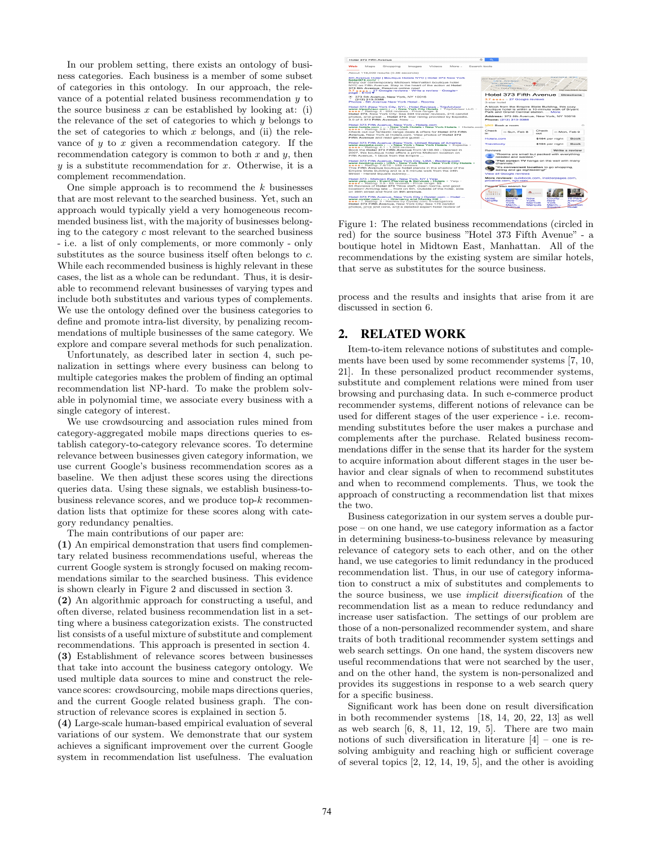In our problem setting, there exists an ontology of business categories. Each business is a member of some subset of categories in this ontology. In our approach, the relevance of a potential related business recommendation y to the source business  $x$  can be established by looking at: (i) the relevance of the set of categories to which  $y$  belongs to the set of categories to which  $x$  belongs, and (ii) the relevance of  $y$  to  $x$  given a recommendation category. If the recommendation category is common to both  $x$  and  $y$ , then  $y$  is a substitute recommendation for  $x$ . Otherwise, it is a complement recommendation.

One simple approach is to recommend the  $k$  businesses that are most relevant to the searched business. Yet, such an approach would typically yield a very homogeneous recommended business list, with the majority of businesses belonging to the category  $c$  most relevant to the searched business - i.e. a list of only complements, or more commonly - only substitutes as the source business itself often belongs to  $c$ . While each recommended business is highly relevant in these cases, the list as a whole can be redundant. Thus, it is desirable to recommend relevant businesses of varying types and include both substitutes and various types of complements. We use the ontology defined over the business categories to define and promote intra-list diversity, by penalizing recommendations of multiple businesses of the same category. We explore and compare several methods for such penalization.

Unfortunately, as described later in section 4, such penalization in settings where every business can belong to multiple categories makes the problem of finding an optimal recommendation list NP-hard. To make the problem solvable in polynomial time, we associate every business with a single category of interest.

We use crowdsourcing and association rules mined from category-aggregated mobile maps directions queries to establish category-to-category relevance scores. To determine relevance between businesses given category information, we use current Google's business recommendation scores as a baseline. We then adjust these scores using the directions queries data. Using these signals, we establish business-tobusiness relevance scores, and we produce top- $k$  recommendation lists that optimize for these scores along with category redundancy penalties.

The main contributions of our paper are:

(1) An empirical demonstration that users find complementary related business recommendations useful, whereas the current Google system is strongly focused on making recommendations similar to the searched business. This evidence is shown clearly in Figure 2 and discussed in section 3.

(2) An algorithmic approach for constructing a useful, and often diverse, related business recommendation list in a setting where a business categorization exists. The constructed list consists of a useful mixture of substitute and complement recommendations. This approach is presented in section 4. (3) Establishment of relevance scores between businesses that take into account the business category ontology. We used multiple data sources to mine and construct the relevance scores: crowdsourcing, mobile maps directions queries, and the current Google related business graph. The construction of relevance scores is explained in section 5.

(4) Large-scale human-based empirical evaluation of several variations of our system. We demonstrate that our system achieves a significant improvement over the current Google system in recommendation list usefulness. The evaluation



Figure 1: The related business recommendations (circled in red) for the source business "Hotel 373 Fifth Avenue" - a boutique hotel in Midtown East, Manhattan. All of the recommendations by the existing system are similar hotels, that serve as substitutes for the source business.

process and the results and insights that arise from it are discussed in section 6.

## 2. RELATED WORK

Item-to-item relevance notions of substitutes and complements have been used by some recommender systems [7, 10, 21]. In these personalized product recommender systems, substitute and complement relations were mined from user browsing and purchasing data. In such e-commerce product recommender systems, different notions of relevance can be used for different stages of the user experience - i.e. recommending substitutes before the user makes a purchase and complements after the purchase. Related business recommendations differ in the sense that its harder for the system to acquire information about different stages in the user behavior and clear signals of when to recommend substitutes and when to recommend complements. Thus, we took the approach of constructing a recommendation list that mixes the two.

Business categorization in our system serves a double purpose – on one hand, we use category information as a factor in determining business-to-business relevance by measuring relevance of category sets to each other, and on the other hand, we use categories to limit redundancy in the produced recommendation list. Thus, in our use of category information to construct a mix of substitutes and complements to the source business, we use implicit diversification of the recommendation list as a mean to reduce redundancy and increase user satisfaction. The settings of our problem are those of a non-personalized recommender system, and share traits of both traditional recommender system settings and web search settings. On one hand, the system discovers new useful recommendations that were not searched by the user, and on the other hand, the system is non-personalized and provides its suggestions in response to a web search query for a specific business.

Significant work has been done on result diversification in both recommender systems [18, 14, 20, 22, 13] as well as web search  $[6, 8, 11, 12, 19, 5]$ . There are two main notions of such diversification in literature  $[4]$  – one is resolving ambiguity and reaching high or sufficient coverage of several topics [2, 12, 14, 19, 5], and the other is avoiding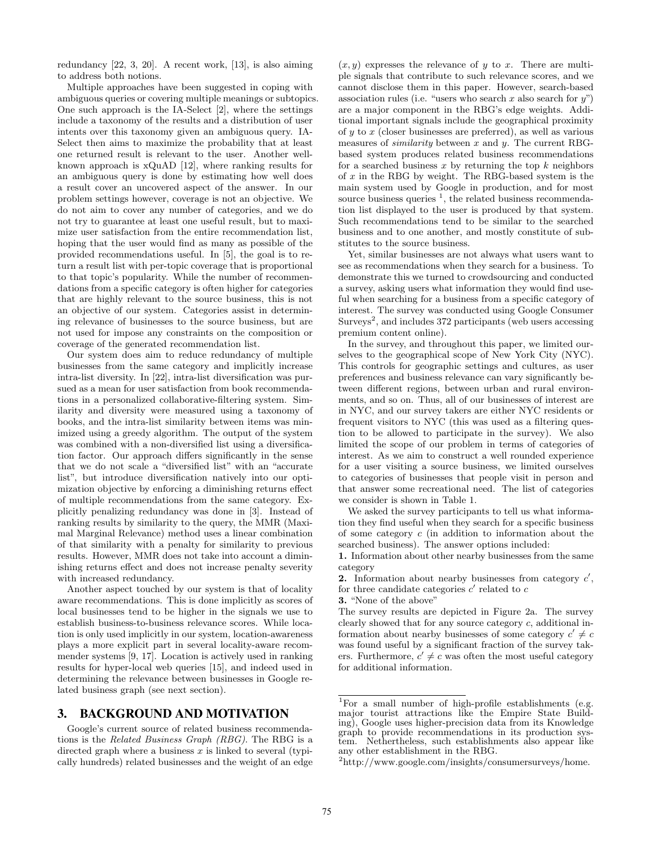redundancy [22, 3, 20]. A recent work, [13], is also aiming to address both notions.

Multiple approaches have been suggested in coping with ambiguous queries or covering multiple meanings or subtopics. One such approach is the IA-Select [2], where the settings include a taxonomy of the results and a distribution of user intents over this taxonomy given an ambiguous query. IA-Select then aims to maximize the probability that at least one returned result is relevant to the user. Another wellknown approach is xQuAD [12], where ranking results for an ambiguous query is done by estimating how well does a result cover an uncovered aspect of the answer. In our problem settings however, coverage is not an objective. We do not aim to cover any number of categories, and we do not try to guarantee at least one useful result, but to maximize user satisfaction from the entire recommendation list, hoping that the user would find as many as possible of the provided recommendations useful. In [5], the goal is to return a result list with per-topic coverage that is proportional to that topic's popularity. While the number of recommendations from a specific category is often higher for categories that are highly relevant to the source business, this is not an objective of our system. Categories assist in determining relevance of businesses to the source business, but are not used for impose any constraints on the composition or coverage of the generated recommendation list.

Our system does aim to reduce redundancy of multiple businesses from the same category and implicitly increase intra-list diversity. In [22], intra-list diversification was pursued as a mean for user satisfaction from book recommendations in a personalized collaborative-filtering system. Similarity and diversity were measured using a taxonomy of books, and the intra-list similarity between items was minimized using a greedy algorithm. The output of the system was combined with a non-diversified list using a diversification factor. Our approach differs significantly in the sense that we do not scale a "diversified list" with an "accurate list", but introduce diversification natively into our optimization objective by enforcing a diminishing returns effect of multiple recommendations from the same category. Explicitly penalizing redundancy was done in [3]. Instead of ranking results by similarity to the query, the MMR (Maximal Marginal Relevance) method uses a linear combination of that similarity with a penalty for similarity to previous results. However, MMR does not take into account a diminishing returns effect and does not increase penalty severity with increased redundancy.

Another aspect touched by our system is that of locality aware recommendations. This is done implicitly as scores of local businesses tend to be higher in the signals we use to establish business-to-business relevance scores. While location is only used implicitly in our system, location-awareness plays a more explicit part in several locality-aware recommender systems [9, 17]. Location is actively used in ranking results for hyper-local web queries [15], and indeed used in determining the relevance between businesses in Google related business graph (see next section).

### 3. BACKGROUND AND MOTIVATION

Google's current source of related business recommendations is the Related Business Graph (RBG). The RBG is a directed graph where a business  $x$  is linked to several (typically hundreds) related businesses and the weight of an edge  $(x, y)$  expresses the relevance of y to x. There are multiple signals that contribute to such relevance scores, and we cannot disclose them in this paper. However, search-based association rules (i.e. "users who search x also search for  $y$ ") are a major component in the RBG's edge weights. Additional important signals include the geographical proximity of  $y$  to  $x$  (closer businesses are preferred), as well as various measures of *similarity* between x and y. The current RBGbased system produces related business recommendations for a searched business  $x$  by returning the top  $k$  neighbors of  $x$  in the RBG by weight. The RBG-based system is the main system used by Google in production, and for most source business queries  $<sup>1</sup>$ , the related business recommenda-</sup> tion list displayed to the user is produced by that system. Such recommendations tend to be similar to the searched business and to one another, and mostly constitute of substitutes to the source business.

Yet, similar businesses are not always what users want to see as recommendations when they search for a business. To demonstrate this we turned to crowdsourcing and conducted a survey, asking users what information they would find useful when searching for a business from a specific category of interest. The survey was conducted using Google Consumer Surveys<sup>2</sup>, and includes 372 participants (web users accessing premium content online).

In the survey, and throughout this paper, we limited ourselves to the geographical scope of New York City (NYC). This controls for geographic settings and cultures, as user preferences and business relevance can vary significantly between different regions, between urban and rural environments, and so on. Thus, all of our businesses of interest are in NYC, and our survey takers are either NYC residents or frequent visitors to NYC (this was used as a filtering question to be allowed to participate in the survey). We also limited the scope of our problem in terms of categories of interest. As we aim to construct a well rounded experience for a user visiting a source business, we limited ourselves to categories of businesses that people visit in person and that answer some recreational need. The list of categories we consider is shown in Table 1.

We asked the survey participants to tell us what information they find useful when they search for a specific business of some category c (in addition to information about the searched business). The answer options included:

2. Information about nearby businesses from category  $c'$ , for three candidate categories  $c'$  related to  $c$ 

3. "None of the above"

The survey results are depicted in Figure 2a. The survey clearly showed that for any source category c, additional information about nearby businesses of some category  $c' \neq c$ was found useful by a significant fraction of the survey takers. Furthermore,  $c' \neq c$  was often the most useful category for additional information.

<sup>1.</sup> Information about other nearby businesses from the same category

<sup>&</sup>lt;sup>1</sup>For a small number of high-profile establishments (e.g. major tourist attractions like the Empire State Building), Google uses higher-precision data from its Knowledge graph to provide recommendations in its production system. Nethertheless, such establishments also appear like any other establishment in the RBG.

<sup>2</sup>http://www.google.com/insights/consumersurveys/home.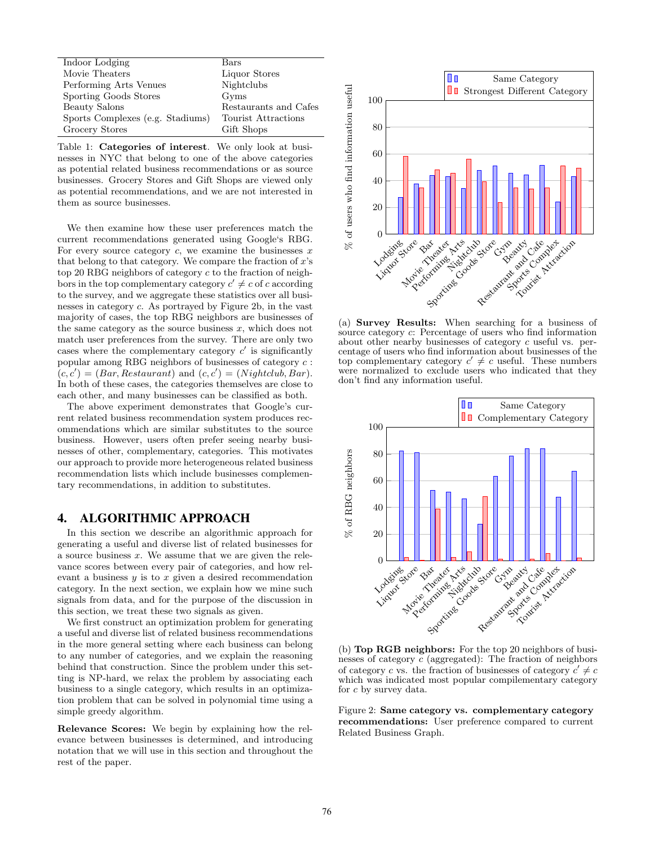| Indoor Lodging                   | Bars                  |
|----------------------------------|-----------------------|
| Movie Theaters                   | Liquor Stores         |
| Performing Arts Venues           | Nightclubs            |
| Sporting Goods Stores            | Gyms                  |
| Beauty Salons                    | Restaurants and Cafes |
| Sports Complexes (e.g. Stadiums) | Tourist Attractions   |
| Grocery Stores                   | Gift Shops            |

Table 1: Categories of interest. We only look at businesses in NYC that belong to one of the above categories as potential related business recommendations or as source businesses. Grocery Stores and Gift Shops are viewed only as potential recommendations, and we are not interested in them as source businesses.

We then examine how these user preferences match the current recommendations generated using Google's RBG. For every source category  $c$ , we examine the businesses  $x$ that belong to that category. We compare the fraction of  $x$ 's top 20 RBG neighbors of category c to the fraction of neighbors in the top complementary category  $c' \neq c$  of c according to the survey, and we aggregate these statistics over all businesses in category c. As portrayed by Figure 2b, in the vast majority of cases, the top RBG neighbors are businesses of the same category as the source business  $x$ , which does not match user preferences from the survey. There are only two cases where the complementary category  $c'$  is significantly popular among RBG neighbors of businesses of category  $c$ :  $(c, c') = (Bar, Restaurant)$  and  $(c, c') = (Nightclub, Bar)$ . In both of these cases, the categories themselves are close to each other, and many businesses can be classified as both.

The above experiment demonstrates that Google's current related business recommendation system produces recommendations which are similar substitutes to the source business. However, users often prefer seeing nearby businesses of other, complementary, categories. This motivates our approach to provide more heterogeneous related business recommendation lists which include businesses complementary recommendations, in addition to substitutes.

#### 4. ALGORITHMIC APPROACH

In this section we describe an algorithmic approach for generating a useful and diverse list of related businesses for a source business x. We assume that we are given the relevance scores between every pair of categories, and how relevant a business  $y$  is to  $x$  given a desired recommendation category. In the next section, we explain how we mine such signals from data, and for the purpose of the discussion in this section, we treat these two signals as given.

We first construct an optimization problem for generating a useful and diverse list of related business recommendations in the more general setting where each business can belong to any number of categories, and we explain the reasoning behind that construction. Since the problem under this setting is NP-hard, we relax the problem by associating each business to a single category, which results in an optimization problem that can be solved in polynomial time using a simple greedy algorithm.

Relevance Scores: We begin by explaining how the relevance between businesses is determined, and introducing notation that we will use in this section and throughout the rest of the paper.



(a) Survey Results: When searching for a business of source category c: Percentage of users who find information about other nearby businesses of category c useful vs. percentage of users who find information about businesses of the top complementary category  $c' \neq c$  useful. These numbers were normalized to exclude users who indicated that they don't find any information useful.



(b) Top RGB neighbors: For the top 20 neighbors of businesses of category c (aggregated): The fraction of neighbors of category c vs. the fraction of businesses of category  $c' \neq c$ which was indicated most popular compilementary category for c by survey data.

Figure 2: Same category vs. complementary category recommendations: User preference compared to current Related Business Graph.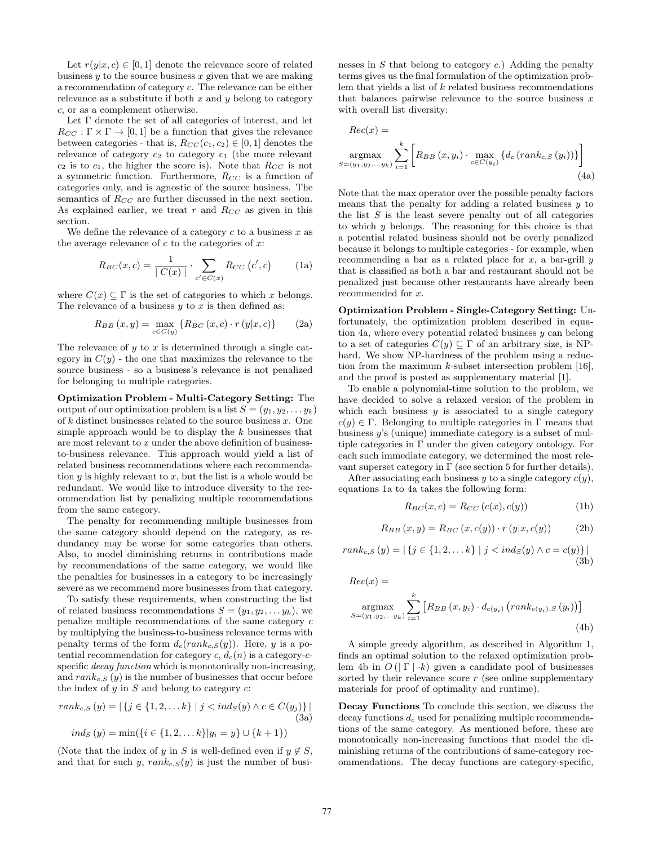Let  $r(y|x, c) \in [0, 1]$  denote the relevance score of related business  $y$  to the source business  $x$  given that we are making a recommendation of category c. The relevance can be either relevance as a substitute if both  $x$  and  $y$  belong to category c, or as a complement otherwise.

Let Γ denote the set of all categories of interest, and let  $R_{CC} : \Gamma \times \Gamma \to [0, 1]$  be a function that gives the relevance between categories - that is,  $R_{CC}(c_1, c_2) \in [0, 1]$  denotes the relevance of category  $c_2$  to category  $c_1$  (the more relevant  $c_2$  is to  $c_1$ , the higher the score is). Note that  $R_{CC}$  is not a symmetric function. Furthermore,  $R_{CC}$  is a function of categories only, and is agnostic of the source business. The semantics of  $R_{CC}$  are further discussed in the next section. As explained earlier, we treat  $r$  and  $R_{CC}$  as given in this section.

We define the relevance of a category  $c$  to a business  $x$  as the average relevance of  $c$  to the categories of  $x$ :

$$
R_{BC}(x, c) = \frac{1}{|C(x)|} \cdot \sum_{c' \in C(x)} R_{CC}(c', c)
$$
 (1a)

where  $C(x) \subseteq \Gamma$  is the set of categories to which x belongs. The relevance of a business  $y$  to  $x$  is then defined as:

$$
R_{BB}(x,y) = \max_{c \in C(y)} \{ R_{BC}(x,c) \cdot r(y|x,c) \}
$$
 (2a)

The relevance of  $y$  to  $x$  is determined through a single category in  $C(y)$  - the one that maximizes the relevance to the source business - so a business's relevance is not penalized for belonging to multiple categories.

Optimization Problem - Multi-Category Setting: The output of our optimization problem is a list  $S = (y_1, y_2, \dots y_k)$ of  $k$  distinct businesses related to the source business  $\boldsymbol{x}.$  One simple approach would be to display the  $k$  businesses that are most relevant to  $x$  under the above definition of businessto-business relevance. This approach would yield a list of related business recommendations where each recommendation  $y$  is highly relevant to  $x$ , but the list is a whole would be redundant. We would like to introduce diversity to the recommendation list by penalizing multiple recommendations from the same category.

The penalty for recommending multiple businesses from the same category should depend on the category, as redundancy may be worse for some categories than others. Also, to model diminishing returns in contributions made by recommendations of the same category, we would like the penalties for businesses in a category to be increasingly severe as we recommend more businesses from that category.

To satisfy these requirements, when constructing the list of related business recommendations  $S = (y_1, y_2, \dots y_k)$ , we penalize multiple recommendations of the same category c by multiplying the business-to-business relevance terms with penalty terms of the form  $d_c(rank_{c,S}(y))$ . Here, y is a potential recommendation for category c,  $d_c(n)$  is a category-cspecific *decay function* which is monotonically non-increasing, and  $rank_{c,S}(y)$  is the number of businesses that occur before the index of  $y$  in  $S$  and belong to category  $c$ :

$$
rank_{c,S}(y) = |\{j \in \{1, 2, \dots k\} \mid j < ind_{S}(y) \land c \in C(y_{j})\}|
$$
\n
$$
ind_{S}(y) = \min(\{i \in \{1, 2, \dots k\} | y_{i} = y\} \cup \{k+1\})
$$
\n
$$
(3a)
$$

(Note that the index of y in S is well-defined even if  $y \notin S$ , and that for such y,  $rank_{c,S}(y)$  is just the number of businesses in  $S$  that belong to category  $c$ .) Adding the penalty terms gives us the final formulation of the optimization problem that yields a list of  $k$  related business recommendations that balances pairwise relevance to the source business  $x$ with overall list diversity:

$$
Rec(x) =
$$
  
argmax<sub>S=(y<sub>1</sub>,y<sub>2</sub>,...,y<sub>k</sub>)</sub>  $\sum_{i=1}^{k} \left[ R_{BB}(x, y_i) \cdot \max_{c \in C(y_i)} \{ d_c \left( rank_{c,S}(y_i) \right) \} \right]$   
(4a)

Note that the max operator over the possible penalty factors means that the penalty for adding a related business  $y$  to the list  $S$  is the least severe penalty out of all categories to which y belongs. The reasoning for this choice is that a potential related business should not be overly penalized because it belongs to multiple categories - for example, when recommending a bar as a related place for  $x$ , a bar-grill  $y$ that is classified as both a bar and restaurant should not be penalized just because other restaurants have already been recommended for x.

Optimization Problem - Single-Category Setting: Unfortunately, the optimization problem described in equation 4a, where every potential related business  $y$  can belong to a set of categories  $C(y) \subseteq \Gamma$  of an arbitrary size, is NPhard. We show NP-hardness of the problem using a reduction from the maximum  $k$ -subset intersection problem [16]. and the proof is posted as supplementary material [1].

To enable a polynomial-time solution to the problem, we have decided to solve a relaxed version of the problem in which each business  $y$  is associated to a single category  $c(y) \in \Gamma$ . Belonging to multiple categories in  $\Gamma$  means that business y's (unique) immediate category is a subset of multiple categories in Γ under the given category ontology. For each such immediate category, we determined the most relevant superset category in  $\Gamma$  (see section 5 for further details).

After associating each business y to a single category  $c(y)$ , equations 1a to 4a takes the following form:

$$
R_{BC}(x,c) = R_{CC}(c(x),c(y))
$$
 (1b)

$$
R_{BB}(x,y) = R_{BC}(x,c(y)) \cdot r(y|x,c(y))
$$
 (2b)

 $rank_{c,S}(y) = |\{j \in \{1,2,...k\} | j < ind_{S}(y) \land c = c(y)\}|$ (3b)

$$
Rec(x) =
$$
  
argmax<sub>S=(y\_1, y\_2, ..., y\_k)}  $\sum_{i=1}^{k} [R_{BB}(x, y_i) \cdot d_{c(y_i)}(rank_{c(y_i), S}(y_i))]$   
(4b)</sub>

A simple greedy algorithm, as described in Algorithm 1, finds an optimal solution to the relaxed optimization problem 4b in  $O(|\Gamma| \cdot k)$  given a candidate pool of businesses sorted by their relevance score  $r$  (see online supplementary materials for proof of optimality and runtime).

Decay Functions To conclude this section, we discuss the  $\chi$  decay functions  $d_c$  used for penalizing multiple recommendations of the same category. As mentioned before, these are monotonically non-increasing functions that model the diminishing returns of the contributions of same-category recommendations. The decay functions are category-specific,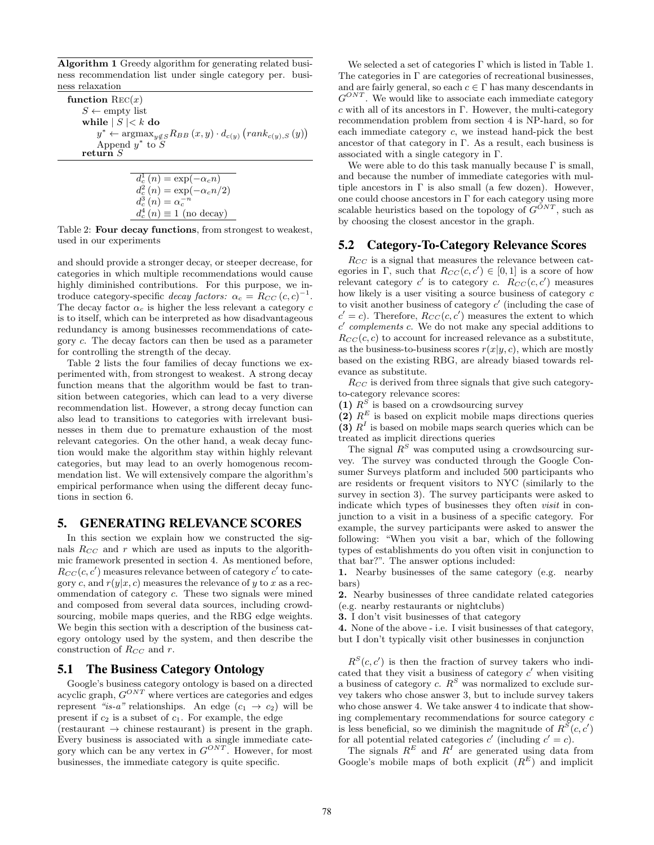Algorithm 1 Greedy algorithm for generating related business recommendation list under single category per. business relaxation

function  $Rec(x)$  $S \leftarrow \text{empty list}$ while  $|S| < k$  do  $y^* \leftarrow \arg\!\max_{y \notin S} R_{BB}(x, y) \cdot d_{c(y)}(rank_{c(y), S}(y))$ Append  $y^*$  to  $\tilde{S}$ return  $S$ 

$$
d_c^1(n) = \exp(-\alpha_c n)
$$
  
\n
$$
d_c^2(n) = \exp(-\alpha_c n/2)
$$
  
\n
$$
d_c^3(n) = \alpha_c^{-n}
$$
  
\n
$$
d_c^4(n) \equiv 1 \text{ (no decay)}
$$

Table 2: Four decay functions, from strongest to weakest, used in our experiments

and should provide a stronger decay, or steeper decrease, for categories in which multiple recommendations would cause highly diminished contributions. For this purpose, we introduce category-specific decay factors:  $\alpha_c = R_{CC} (c, c)^{-1}$ . The decay factor  $\alpha_c$  is higher the less relevant a category c is to itself, which can be interpreted as how disadvantageous redundancy is among businesses recommendations of category c. The decay factors can then be used as a parameter for controlling the strength of the decay.

Table 2 lists the four families of decay functions we experimented with, from strongest to weakest. A strong decay function means that the algorithm would be fast to transition between categories, which can lead to a very diverse recommendation list. However, a strong decay function can also lead to transitions to categories with irrelevant businesses in them due to premature exhaustion of the most relevant categories. On the other hand, a weak decay function would make the algorithm stay within highly relevant categories, but may lead to an overly homogenous recommendation list. We will extensively compare the algorithm's empirical performance when using the different decay functions in section 6.

#### 5. GENERATING RELEVANCE SCORES

In this section we explain how we constructed the signals  $R_{CC}$  and r which are used as inputs to the algorithmic framework presented in section 4. As mentioned before,  $R_{CC}(c, c')$  measures relevance between of category  $c'$  to category c, and  $r(y|x, c)$  measures the relevance of y to x as a recommendation of category c. These two signals were mined and composed from several data sources, including crowdsourcing, mobile maps queries, and the RBG edge weights. We begin this section with a description of the business category ontology used by the system, and then describe the construction of  $R_{CC}$  and r.

#### 5.1 The Business Category Ontology

Google's business category ontology is based on a directed acyclic graph,  $G^{ONT}$  where vertices are categories and edges represent "is-a" relationships. An edge  $(c_1 \rightarrow c_2)$  will be present if  $c_2$  is a subset of  $c_1$ . For example, the edge  $(restaurant \rightarrow chinese restaurant)$  is present in the graph. Every business is associated with a single immediate category which can be any vertex in  $G^{ONT}$ . However, for most businesses, the immediate category is quite specific.

We selected a set of categories  $\Gamma$  which is listed in Table 1. The categories in  $\Gamma$  are categories of recreational businesses, and are fairly general, so each  $c \in \Gamma$  has many descendants in  $G^{ONT}$ . We would like to associate each immediate category  $c$  with all of its ancestors in Γ. However, the multi-category recommendation problem from section 4 is NP-hard, so for each immediate category c, we instead hand-pick the best ancestor of that category in  $\Gamma$ . As a result, each business is associated with a single category in Γ.

We were able to do this task manually because  $\Gamma$  is small, and because the number of immediate categories with multiple ancestors in  $\Gamma$  is also small (a few dozen). However, one could choose ancestors in  $\Gamma$  for each category using more scalable heuristics based on the topology of  $G^{ONT}$ , such as by choosing the closest ancestor in the graph.

#### 5.2 Category-To-Category Relevance Scores

 $R_{CC}$  is a signal that measures the relevance between categories in  $\Gamma$ , such that  $R_{CC}(c, c') \in [0, 1]$  is a score of how relevant category  $c'$  is to category c.  $R_{CC}(c, c')$  measures how likely is a user visiting a source business of category c to visit another business of category  $c'$  (including the case of  $c' = c$ ). Therefore,  $R_{CC}(c, c')$  measures the extent to which  $c'$  complements  $c$ . We do not make any special additions to  $R_{CC}(c, c)$  to account for increased relevance as a substitute, as the business-to-business scores  $r(x|y, c)$ , which are mostly based on the existing RBG, are already biased towards relevance as substitute.

 $R_{CC}$  is derived from three signals that give such categoryto-category relevance scores:

(1)  $R^S$  is based on a crowdsourcing survey

(2)  $R<sup>E</sup>$  is based on explicit mobile maps directions queries (3)  $R<sup>I</sup>$  is based on mobile maps search queries which can be treated as implicit directions queries

The signal  $R<sup>S</sup>$  was computed using a crowdsourcing survey. The survey was conducted through the Google Consumer Surveys platform and included 500 participants who are residents or frequent visitors to NYC (similarly to the survey in section 3). The survey participants were asked to indicate which types of businesses they often *visit* in conjunction to a visit in a business of a specific category. For example, the survey participants were asked to answer the following: "When you visit a bar, which of the following types of establishments do you often visit in conjunction to that bar?". The answer options included:

1. Nearby businesses of the same category (e.g. nearby bars)

2. Nearby businesses of three candidate related categories (e.g. nearby restaurants or nightclubs)

3. I don't visit businesses of that category

4. None of the above - i.e. I visit businesses of that category, but I don't typically visit other businesses in conjunction

 $R^{S}(c, c')$  is then the fraction of survey takers who indicated that they visit a business of category  $c'$  when visiting a business of category c.  $R^S$  was normalized to exclude survey takers who chose answer 3, but to include survey takers who chose answer 4. We take answer 4 to indicate that showing complementary recommendations for source category c is less beneficial, so we diminish the magnitude of  $R^S(c, c')$ for all potential related categories  $c'$  (including  $c' = c$ ).

The signals  $R^E$  and  $R^I$  are generated using data from Google's mobile maps of both explicit  $(R^E)$  and implicit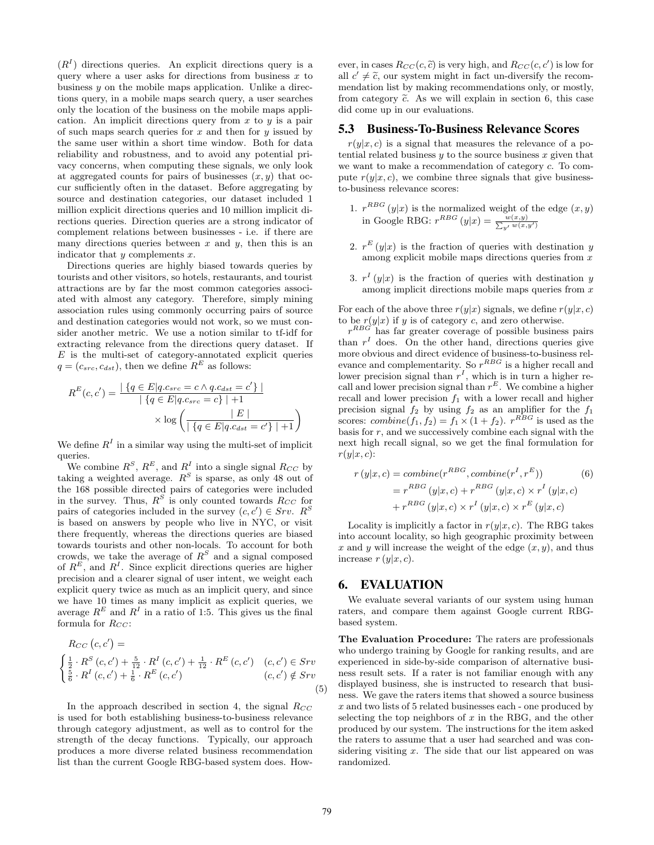$(R<sup>I</sup>)$  directions queries. An explicit directions query is a query where a user asks for directions from business  $x$  to business  $y$  on the mobile maps application. Unlike a directions query, in a mobile maps search query, a user searches only the location of the business on the mobile maps application. An implicit directions query from  $x$  to  $y$  is a pair of such maps search queries for  $x$  and then for  $y$  issued by the same user within a short time window. Both for data reliability and robustness, and to avoid any potential privacy concerns, when computing these signals, we only look at aggregated counts for pairs of businesses  $(x, y)$  that occur sufficiently often in the dataset. Before aggregating by source and destination categories, our dataset included 1 million explicit directions queries and 10 million implicit directions queries. Direction queries are a strong indicator of complement relations between businesses - i.e. if there are many directions queries between  $x$  and  $y$ , then this is an indicator that  $y$  complements  $x$ .

Directions queries are highly biased towards queries by tourists and other visitors, so hotels, restaurants, and tourist attractions are by far the most common categories associated with almost any category. Therefore, simply mining association rules using commonly occurring pairs of source and destination categories would not work, so we must consider another metric. We use a notion similar to tf-idf for extracting relevance from the directions query dataset. If  $E$  is the multi-set of category-annotated explicit queries  $q = (c_{src}, c_{dst})$ , then we define  $R<sup>E</sup>$  as follows:

$$
R^{E}(c, c') = \frac{|\{q \in E | q.c_{src} = c \land q.c_{dst} = c'\}|}{|\{q \in E | q.c_{src} = c\}| + 1}
$$

$$
\times \log \left(\frac{|E|}{|\{q \in E | q.c_{dst} = c'\}| + 1}\right)
$$

We define  $R<sup>I</sup>$  in a similar way using the multi-set of implicit queries.

We combine  $R^S$ ,  $R^E$ , and  $R^I$  into a single signal  $R_{CC}$  by taking a weighted average.  $R^S$  is sparse, as only 48 out of the 168 possible directed pairs of categories were included in the survey. Thus,  $R^S$  is only counted towards  $R_{CC}$  for pairs of categories included in the survey  $(c, c') \in Srv$ .  $R^S$ is based on answers by people who live in NYC, or visit there frequently, whereas the directions queries are biased towards tourists and other non-locals. To account for both crowds, we take the average of  $R^S$  and a signal composed of  $R^E$ , and  $R^I$ . Since explicit directions queries are higher precision and a clearer signal of user intent, we weight each explicit query twice as much as an implicit query, and since we have 10 times as many implicit as explicit queries, we average  $R^E$  and  $R^I$  in a ratio of 1:5. This gives us the final formula for  $R_{CC}$ :

$$
R_{CC} (c, c') =
$$
\n
$$
\begin{cases}\n\frac{1}{2} \cdot R^{S} (c, c') + \frac{5}{12} \cdot R^{I} (c, c') + \frac{1}{12} \cdot R^{E} (c, c') & (c, c') \in Srv \\
\frac{5}{6} \cdot R^{I} (c, c') + \frac{1}{6} \cdot R^{E} (c, c') & (c, c') \notin Srv\n\end{cases}
$$
\n(5)

In the approach described in section 4, the signal  $R_{CC}$ is used for both establishing business-to-business relevance through category adjustment, as well as to control for the strength of the decay functions. Typically, our approach produces a more diverse related business recommendation list than the current Google RBG-based system does. How-

ever, in cases  $R_{CC}(c, \tilde{c})$  is very high, and  $R_{CC}(c, c')$  is low for all  $c' \neq \tilde{c}$  our system might in fact un diversify the recomall  $c' \neq \tilde{c}$ , our system might in fact un-diversify the recom-<br>mondation list by making recommendations only or mostly mendation list by making recommendations only, or mostly, from category  $\tilde{c}$ . As we will explain in section 6, this case did come up in our evaluations.

#### 5.3 Business-To-Business Relevance Scores

 $r(y|x, c)$  is a signal that measures the relevance of a potential related business  $y$  to the source business  $x$  given that we want to make a recommendation of category c. To compute  $r(y|x, c)$ , we combine three signals that give businessto-business relevance scores:

- 1.  $r^{RBG}(y|x)$  is the normalized weight of the edge  $(x, y)$ in Google RBG:  $r^{RBG} (y|x) = \frac{w(x,y)}{\sum_{y'} w(x,y')}$
- 2.  $r^{E}(y|x)$  is the fraction of queries with destination y among explicit mobile maps directions queries from  $x$
- 3.  $r^{I}(y|x)$  is the fraction of queries with destination y among implicit directions mobile maps queries from x

For each of the above three  $r(y|x)$  signals, we define  $r(y|x, c)$ to be  $r(y|x)$  if y is of category c, and zero otherwise.

 $r^{RBG}$  has far greater coverage of possible business pairs than  $r<sup>I</sup>$  does. On the other hand, directions queries give more obvious and direct evidence of business-to-business relevance and complementarity. So  $r^{RBG}$  is a higher recall and lower precision signal than  $r<sup>I</sup>$ , which is in turn a higher recall and lower precision signal than  $r^E$ . We combine a higher recall and lower precision  $f_1$  with a lower recall and higher precision signal  $f_2$  by using  $f_2$  as an amplifier for the  $f_1$ scores:  $combine(f_1, f_2) = f_1 \times (1 + f_2)$ .  $r^{RBG}$  is used as the basis for  $r$ , and we successively combine each signal with the next high recall signal, so we get the final formulation for  $r(y|x, c)$ :

$$
r(y|x,c) = combine(r^{RBG}, combine(r^I, r^E))
$$
\n
$$
= r^{RBG}(y|x,c) + r^{RBG}(y|x,c) \times r^I(y|x,c)
$$
\n
$$
+ r^{RBG}(y|x,c) \times r^I(y|x,c) \times r^E(y|x,c)
$$

Locality is implicitly a factor in  $r(y|x, c)$ . The RBG takes into account locality, so high geographic proximity between x and y will increase the weight of the edge  $(x, y)$ , and thus increase  $r(y|x, c)$ .

#### 6. EVALUATION

We evaluate several variants of our system using human raters, and compare them against Google current RBGbased system.

The Evaluation Procedure: The raters are professionals who undergo training by Google for ranking results, and are experienced in side-by-side comparison of alternative business result sets. If a rater is not familiar enough with any displayed business, she is instructed to research that business. We gave the raters items that showed a source business x and two lists of 5 related businesses each - one produced by selecting the top neighbors of  $x$  in the RBG, and the other produced by our system. The instructions for the item asked the raters to assume that a user had searched and was considering visiting  $x$ . The side that our list appeared on was randomized.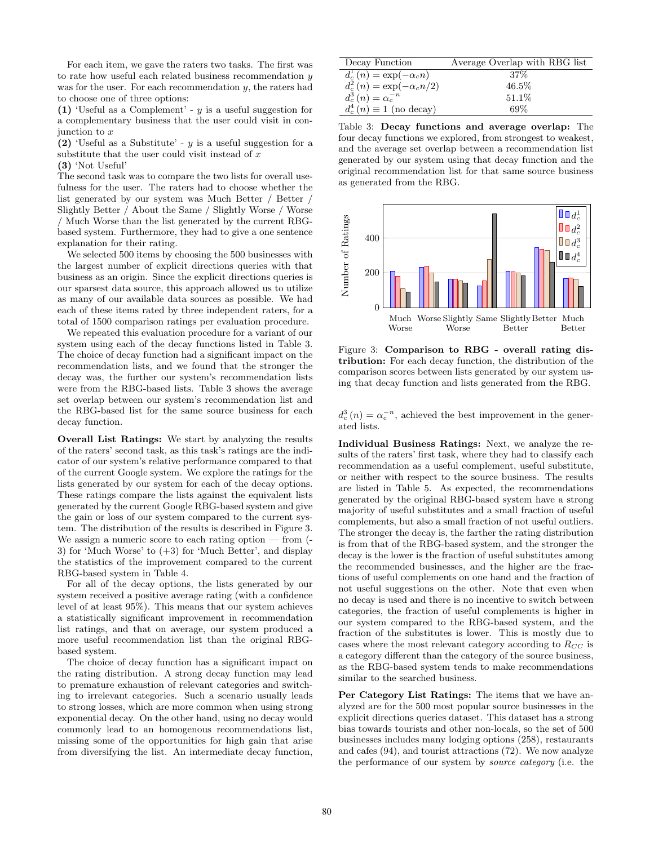For each item, we gave the raters two tasks. The first was to rate how useful each related business recommendation y was for the user. For each recommendation  $y$ , the raters had to choose one of three options:

(1) 'Useful as a Complement' -  $y$  is a useful suggestion for a complementary business that the user could visit in conjunction to x

(2) 'Useful as a Substitute' -  $y$  is a useful suggestion for a substitute that the user could visit instead of  $x$ 

(3) 'Not Useful'

The second task was to compare the two lists for overall usefulness for the user. The raters had to choose whether the list generated by our system was Much Better / Better / Slightly Better / About the Same / Slightly Worse / Worse / Much Worse than the list generated by the current RBGbased system. Furthermore, they had to give a one sentence explanation for their rating.

We selected 500 items by choosing the 500 businesses with the largest number of explicit directions queries with that business as an origin. Since the explicit directions queries is our sparsest data source, this approach allowed us to utilize as many of our available data sources as possible. We had each of these items rated by three independent raters, for a total of 1500 comparison ratings per evaluation procedure.

We repeated this evaluation procedure for a variant of our system using each of the decay functions listed in Table 3. The choice of decay function had a significant impact on the recommendation lists, and we found that the stronger the decay was, the further our system's recommendation lists were from the RBG-based lists. Table 3 shows the average set overlap between our system's recommendation list and the RBG-based list for the same source business for each decay function.

Overall List Ratings: We start by analyzing the results of the raters' second task, as this task's ratings are the indicator of our system's relative performance compared to that of the current Google system. We explore the ratings for the lists generated by our system for each of the decay options. These ratings compare the lists against the equivalent lists generated by the current Google RBG-based system and give the gain or loss of our system compared to the current system. The distribution of the results is described in Figure 3. We assign a numeric score to each rating option — from (- 3) for 'Much Worse' to (+3) for 'Much Better', and display the statistics of the improvement compared to the current RBG-based system in Table 4.

For all of the decay options, the lists generated by our system received a positive average rating (with a confidence level of at least 95%). This means that our system achieves a statistically significant improvement in recommendation list ratings, and that on average, our system produced a more useful recommendation list than the original RBGbased system.

The choice of decay function has a significant impact on the rating distribution. A strong decay function may lead to premature exhaustion of relevant categories and switching to irrelevant categories. Such a scenario usually leads to strong losses, which are more common when using strong exponential decay. On the other hand, using no decay would commonly lead to an homogenous recommendations list, missing some of the opportunities for high gain that arise from diversifying the list. An intermediate decay function,

| Decay Function                   | Average Overlap with RBG list |
|----------------------------------|-------------------------------|
| $d_c^1(n) = \exp(-\alpha_c n)$   | $.37\%$                       |
| $d_c^2(n) = \exp(-\alpha_c n/2)$ | $46.5\%$                      |
| $d_c^3(n) = \alpha_c^{-n}$       | 51.1\%                        |
| $d_c^4(n) \equiv 1$ (no decay)   | 69%                           |

Table 3: Decay functions and average overlap: The four decay functions we explored, from strongest to weakest, and the average set overlap between a recommendation list generated by our system using that decay function and the original recommendation list for that same source business as generated from the RBG.



Figure 3: Comparison to RBG - overall rating distribution: For each decay function, the distribution of the comparison scores between lists generated by our system using that decay function and lists generated from the RBG.

 $d_c^3(n) = \alpha_c^{-n}$ , achieved the best improvement in the generated lists.

Individual Business Ratings: Next, we analyze the results of the raters' first task, where they had to classify each recommendation as a useful complement, useful substitute, or neither with respect to the source business. The results are listed in Table 5. As expected, the recommendations generated by the original RBG-based system have a strong majority of useful substitutes and a small fraction of useful complements, but also a small fraction of not useful outliers. The stronger the decay is, the farther the rating distribution is from that of the RBG-based system, and the stronger the decay is the lower is the fraction of useful substitutes among the recommended businesses, and the higher are the fractions of useful complements on one hand and the fraction of not useful suggestions on the other. Note that even when no decay is used and there is no incentive to switch between categories, the fraction of useful complements is higher in our system compared to the RBG-based system, and the fraction of the substitutes is lower. This is mostly due to cases where the most relevant category according to  $R_{CC}$  is a category different than the category of the source business, as the RBG-based system tends to make recommendations similar to the searched business.

Per Category List Ratings: The items that we have analyzed are for the 500 most popular source businesses in the explicit directions queries dataset. This dataset has a strong bias towards tourists and other non-locals, so the set of 500 businesses includes many lodging options (258), restaurants and cafes (94), and tourist attractions (72). We now analyze the performance of our system by source category (i.e. the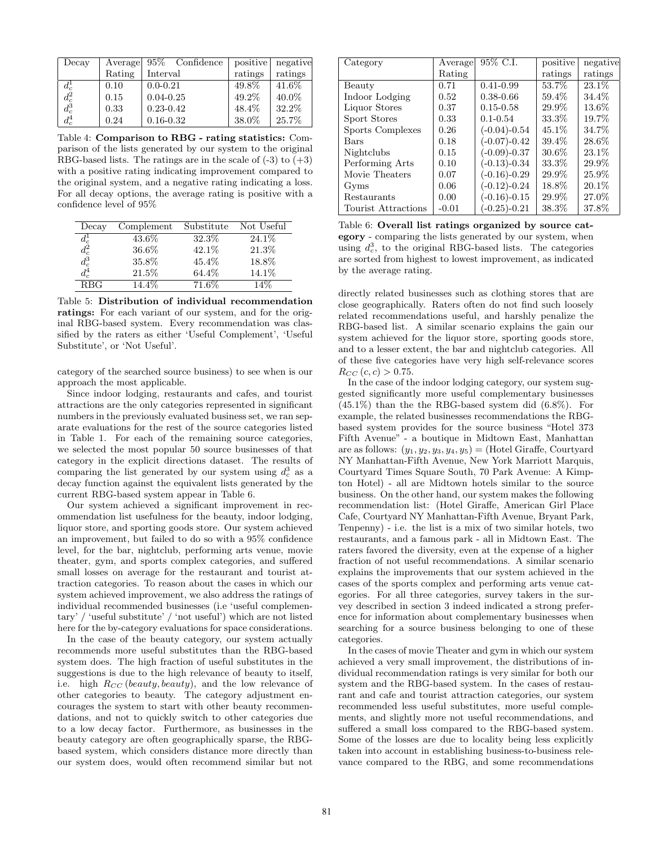| Decay           | Average | 95\% Confidence | positive | negative |
|-----------------|---------|-----------------|----------|----------|
|                 | Rating  | Interval        | ratings  | ratings  |
| $d_c^1$         | 0.10    | $0.0 - 0.21$    | 49.8%    | 41.6%    |
| $d_c^2$         | 0.15    | $0.04 - 0.25$   | 49.2%    | 40.0%    |
| $d_c^{\bar{3}}$ | 0.33    | $0.23 - 0.42$   | 48.4%    | 32.2%    |
| $d_c^4$         | 0.24    | $0.16 - 0.32$   | 38.0%    | 25.7%    |

Table 4: Comparison to RBG - rating statistics: Comparison of the lists generated by our system to the original RBG-based lists. The ratings are in the scale of  $(-3)$  to  $(+3)$ with a positive rating indicating improvement compared to the original system, and a negative rating indicating a loss. For all decay options, the average rating is positive with a confidence level of 95%

| Decay                                     | Complement | Substitute | Not Useful |
|-------------------------------------------|------------|------------|------------|
|                                           | 43.6%      | 32.3%      | 24.1\%     |
|                                           | 36.6%      | 42.1%      | 21.3%      |
| $\frac{d_c^1}{d_c^2} \frac{d_c^2}{d_c^3}$ | 35.8%      | $45.4\%$   | 18.8%      |
| $d_c^4$                                   | 21.5%      | 64.4%      | 14.1%      |
| <b>RBG</b>                                | 14.4\%     | 71.6%      | 14%        |

Table 5: Distribution of individual recommendation ratings: For each variant of our system, and for the original RBG-based system. Every recommendation was classified by the raters as either 'Useful Complement', 'Useful Substitute', or 'Not Useful'.

category of the searched source business) to see when is our approach the most applicable.

Since indoor lodging, restaurants and cafes, and tourist attractions are the only categories represented in significant numbers in the previously evaluated business set, we ran separate evaluations for the rest of the source categories listed in Table 1. For each of the remaining source categories, we selected the most popular 50 source businesses of that category in the explicit directions dataset. The results of comparing the list generated by our system using  $d_c^3$  as a decay function against the equivalent lists generated by the current RBG-based system appear in Table 6.

Our system achieved a significant improvement in recommendation list usefulness for the beauty, indoor lodging, liquor store, and sporting goods store. Our system achieved an improvement, but failed to do so with a 95% confidence level, for the bar, nightclub, performing arts venue, movie theater, gym, and sports complex categories, and suffered small losses on average for the restaurant and tourist attraction categories. To reason about the cases in which our system achieved improvement, we also address the ratings of individual recommended businesses (i.e 'useful complementary' / 'useful substitute' / 'not useful') which are not listed here for the by-category evaluations for space considerations.

In the case of the beauty category, our system actually recommends more useful substitutes than the RBG-based system does. The high fraction of useful substitutes in the suggestions is due to the high relevance of beauty to itself, i.e. high  $R_{CC}$  (beauty, beauty), and the low relevance of other categories to beauty. The category adjustment encourages the system to start with other beauty recommendations, and not to quickly switch to other categories due to a low decay factor. Furthermore, as businesses in the beauty category are often geographically sparse, the RBGbased system, which considers distance more directly than our system does, would often recommend similar but not

| Category            | Average | 95\% C.I.      | positive | negative |
|---------------------|---------|----------------|----------|----------|
|                     | Rating  |                | ratings  | ratings  |
| Beauty              | 0.71    | $0.41 - 0.99$  | 53.7%    | 23.1\%   |
| Indoor Lodging      | 0.52    | $0.38 - 0.66$  | 59.4%    | 34.4%    |
| Liquor Stores       | 0.37    | $0.15 - 0.58$  | 29.9%    | 13.6%    |
| Sport Stores        | 0.33    | $0.1 - 0.54$   | 33.3%    | 19.7%    |
| Sports Complexes    | 0.26    | $(-0.04)-0.54$ | 45.1\%   | 34.7%    |
| <b>Bars</b>         | 0.18    | $(-0.07)-0.42$ | 39.4%    | 28.6%    |
| Nightclubs          | 0.15    | $(-0.09)-0.37$ | $30.6\%$ | 23.1%    |
| Performing Arts     | 0.10    | $(-0.13)-0.34$ | 33.3%    | 29.9%    |
| Movie Theaters      | 0.07    | $(-0.16)-0.29$ | 29.9%    | 25.9%    |
| Gyms                | 0.06    | $(-0.12)-0.24$ | 18.8%    | 20.1%    |
| Restaurants         | 0.00    | $(-0.16)-0.15$ | 29.9%    | 27.0%    |
| Tourist Attractions | $-0.01$ | $(-0.25)-0.21$ | 38.3%    | 37.8%    |

Table 6: Overall list ratings organized by source category - comparing the lists generated by our system, when using  $d_c^3$ , to the original RBG-based lists. The categories are sorted from highest to lowest improvement, as indicated by the average rating.

directly related businesses such as clothing stores that are close geographically. Raters often do not find such loosely related recommendations useful, and harshly penalize the RBG-based list. A similar scenario explains the gain our system achieved for the liquor store, sporting goods store, and to a lesser extent, the bar and nightclub categories. All of these five categories have very high self-relevance scores  $R_{CC} (c, c) > 0.75.$ 

In the case of the indoor lodging category, our system suggested significantly more useful complementary businesses (45.1%) than the the RBG-based system did (6.8%). For example, the related businesses recommendations the RBGbased system provides for the source business "Hotel 373 Fifth Avenue" - a boutique in Midtown East, Manhattan are as follows:  $(y_1, y_2, y_3, y_4, y_5) =$  (Hotel Giraffe, Courtyard NY Manhattan-Fifth Avenue, New York Marriott Marquis, Courtyard Times Square South, 70 Park Avenue: A Kimpton Hotel) - all are Midtown hotels similar to the source business. On the other hand, our system makes the following recommendation list: (Hotel Giraffe, American Girl Place Cafe, Courtyard NY Manhattan-Fifth Avenue, Bryant Park, Tenpenny) - i.e. the list is a mix of two similar hotels, two restaurants, and a famous park - all in Midtown East. The raters favored the diversity, even at the expense of a higher fraction of not useful recommendations. A similar scenario explains the improvements that our system achieved in the cases of the sports complex and performing arts venue categories. For all three categories, survey takers in the survey described in section 3 indeed indicated a strong preference for information about complementary businesses when searching for a source business belonging to one of these categories.

In the cases of movie Theater and gym in which our system achieved a very small improvement, the distributions of individual recommendation ratings is very similar for both our system and the RBG-based system. In the cases of restaurant and cafe and tourist attraction categories, our system recommended less useful substitutes, more useful complements, and slightly more not useful recommendations, and suffered a small loss compared to the RBG-based system. Some of the losses are due to locality being less explicitly taken into account in establishing business-to-business relevance compared to the RBG, and some recommendations